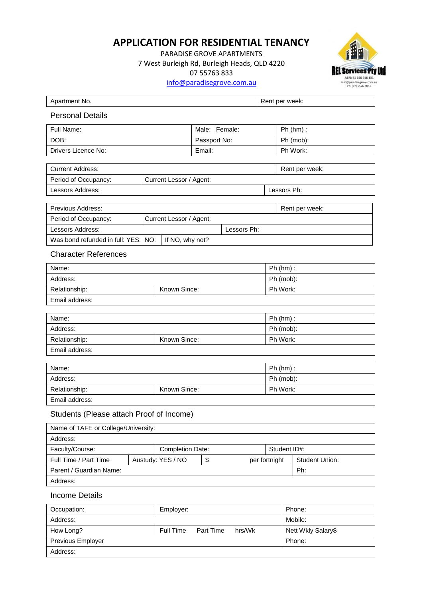## **APPLICATION FOR RESIDENTIAL TENANCY**

PARADISE GROVE APARTMENTS 7 West Burleigh Rd, Burleigh Heads, QLD 4220 07 55763 833 [info@paradisegrove.com.au](mailto:info@paradisegrove.com.au)



| Apartment No.                                          |                         |                   |          |               |               | Rent per week:          |                       |  |
|--------------------------------------------------------|-------------------------|-------------------|----------|---------------|---------------|-------------------------|-----------------------|--|
| <b>Personal Details</b>                                |                         |                   |          |               |               |                         |                       |  |
| Full Name:                                             |                         |                   |          | Male: Female: |               |                         | $Ph(hm)$ :            |  |
| DOB:                                                   |                         |                   |          | Passport No:  |               |                         | Ph (mob):             |  |
| Drivers Licence No:                                    |                         |                   | Email:   |               |               |                         | Ph Work:              |  |
|                                                        |                         |                   |          |               |               |                         |                       |  |
| <b>Current Address:</b>                                |                         |                   |          |               |               |                         | Rent per week:        |  |
| Period of Occupancy:<br>Current Lessor / Agent:        |                         |                   |          |               |               |                         |                       |  |
| Lessors Address:<br>Lessors Ph:                        |                         |                   |          |               |               |                         |                       |  |
| Previous Address:                                      |                         |                   |          |               |               |                         | Rent per week:        |  |
| Period of Occupancy:                                   | Current Lessor / Agent: |                   |          |               |               |                         |                       |  |
| Lessors Address:                                       | Lessors Ph:             |                   |          |               |               |                         |                       |  |
| Was bond refunded in full: YES: NO:<br>If NO, why not? |                         |                   |          |               |               |                         |                       |  |
| <b>Character References</b>                            |                         |                   |          |               |               |                         |                       |  |
| Name:                                                  |                         |                   |          |               |               | $Ph (hm)$ :             |                       |  |
| Address:                                               |                         |                   |          |               |               | Ph (mob):               |                       |  |
| Known Since:<br>Relationship:                          |                         |                   | Ph Work: |               |               |                         |                       |  |
| Email address:                                         |                         |                   |          |               |               |                         |                       |  |
|                                                        |                         |                   |          |               |               |                         |                       |  |
| Name:                                                  |                         |                   |          |               |               | $Ph(hm)$ :<br>Ph (mob): |                       |  |
| Address:                                               |                         |                   | Ph Work: |               |               |                         |                       |  |
| Known Since:<br>Relationship:<br>Email address:        |                         |                   |          |               |               |                         |                       |  |
|                                                        |                         |                   |          |               |               |                         |                       |  |
| $Ph(hm)$ :<br>Name:                                    |                         |                   |          |               |               |                         |                       |  |
| Address:                                               |                         |                   |          |               |               | Ph (mob):               |                       |  |
| Known Since:<br>Relationship:                          |                         |                   | Ph Work: |               |               |                         |                       |  |
| Email address:                                         |                         |                   |          |               |               |                         |                       |  |
| Students (Please attach Proof of Income)               |                         |                   |          |               |               |                         |                       |  |
| Name of TAFE or College/University:                    |                         |                   |          |               |               |                         |                       |  |
| Address:                                               |                         |                   |          |               |               |                         |                       |  |
| Faculty/Course:                                        |                         | Completion Date:  |          |               |               | Student ID#:            |                       |  |
| Full Time / Part Time                                  |                         | Austudy: YES / NO | \$       |               | per fortnight |                         | <b>Student Union:</b> |  |
| Parent / Guardian Name:                                |                         |                   |          |               |               |                         | Ph:                   |  |
| Address:                                               |                         |                   |          |               |               |                         |                       |  |
| <b>Income Details</b>                                  |                         |                   |          |               |               |                         |                       |  |

| Occupation:              | Employer:              |        | Phone:             |
|--------------------------|------------------------|--------|--------------------|
| Address:                 |                        |        | Mobile:            |
| How Long?                | Part Time<br>Full Time | hrs/Wk | Nett Wkly Salary\$ |
| <b>Previous Employer</b> |                        |        | Phone:             |
| Address:                 |                        |        |                    |